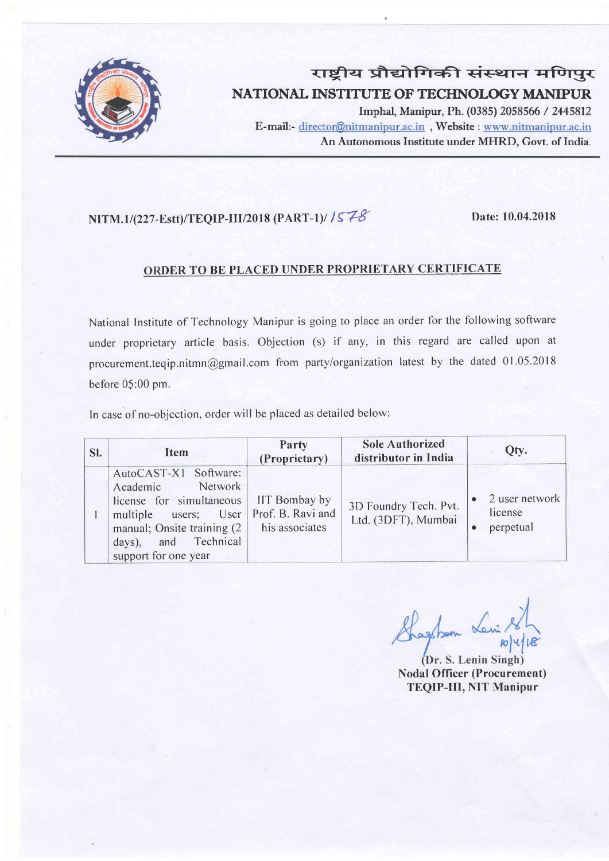

# राष्ट्रीय प्रौद्योगिकी संस्थान मणिपुर NATIONAL INSTITUTE OF TECHNOLOGY MANIPUR

Imphal, Manipur, Ph. (0385) 2058566 / 2445812 E-mail:- director@nitmanipur.ac.in, Website : www.nitmanipur.ac.in An Autonomous Institute under MHRD, Govt. of India.

### $NITM.1/(227-Estt)/TEOIP-III/2018 (PART-1)/ / 578$  Date: 10.04.2018

### ORDER TO BE PLACED UNDER PROPRIETARY CERTIFICATE

National Institute of Technology Manipur is going to place an order for the following software under proprietary article basis. Objection (s) if dny, in this regard are called upon at procurement.teqip.nitmn@gmail.com from party/organization latest by the dated 01.05.2018 before 05:00 pm.

ln case of no-objection, order will be placed as detailed below:

| SI. | Item                                                                                                                                                                                                | Party<br>(Proprietary)                 | <b>Sole Authorized</b><br>distributor in India | Qty.                                                |
|-----|-----------------------------------------------------------------------------------------------------------------------------------------------------------------------------------------------------|----------------------------------------|------------------------------------------------|-----------------------------------------------------|
|     | AutoCAST-X1 Software:<br>Network<br>Academic<br>license for simultaneous<br>multiple users; User Prof. B. Ravi and<br>manual; Onsite training $(2)$<br>days), and Technical<br>support for one year | <b>IIT Bombay by</b><br>his associates | 3D Foundry Tech. Pvt.<br>Ltd. (3DFT), Mumbai   | 2 user network<br>license<br>perpetual<br>$\bullet$ |

Sharsham Le  $v$ l $4|v|$ 

(Dr. S. Lenin Singh) Nodal Officer (Procurement) TEQIP-III, NIT Manipur